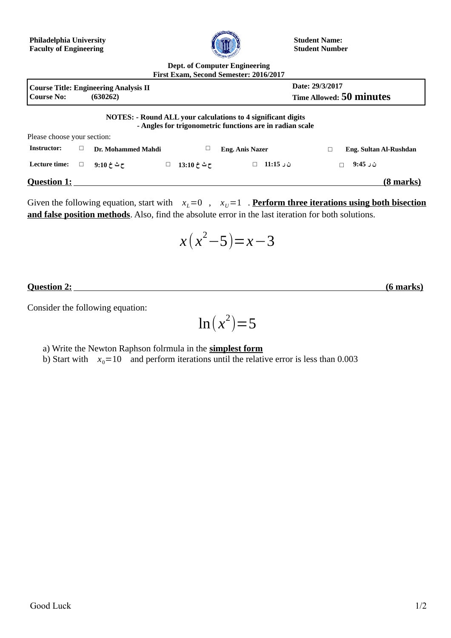

**Student Name: Student Number**

## **Dept. of Computer Engineering First Exam, Second Semester: 2016/2017**

|                             |   |                                                          |             | 1 11 Jt 12 11 11 11 11 12 12 13 14 14 15 16 17 18 18 19 19 19 19 19 19 19 19 19 1                                        |                        |  |
|-----------------------------|---|----------------------------------------------------------|-------------|--------------------------------------------------------------------------------------------------------------------------|------------------------|--|
| <b>Course No:</b>           |   | <b>Course Title: Engineering Analysis II</b><br>(630262) |             | Date: 29/3/2017<br>Time Allowed: 50 minutes                                                                              |                        |  |
| Please choose your section: |   |                                                          |             | NOTES: - Round ALL your calculations to 4 significant digits<br>- Angles for trigonometric functions are in radian scale |                        |  |
| <b>Instructor:</b>          | □ | Dr. Mohammed Mahdi                                       | □           | <b>Eng. Anis Nazer</b>                                                                                                   | Eng. Sultan Al-Rushdan |  |
| Lecture time:               | □ | $9:10 \div 2$ ح ث                                        | ح ٹ خ 13:10 | ن ر 11:15                                                                                                                | ن ر 9:45               |  |
| <b>Question 1:</b>          |   |                                                          |             |                                                                                                                          | (8 marks)              |  |

Given the following equation, start with  $x_L=0$ ,  $x_U=1$ . **Perform three iterations using both bisection and false position methods**. Also, find the absolute error in the last iteration for both solutions.

$$
x(x^2-5)=x-3
$$

*<u>Ouestion 2:* (6 marks)</u>

Consider the following equation:

$$
\ln(x^2)\!=\!5
$$

a) Write the Newton Raphson folrmula in the **simplest form**

b) Start with  $x_0=10$  and perform iterations until the relative error is less than 0.003